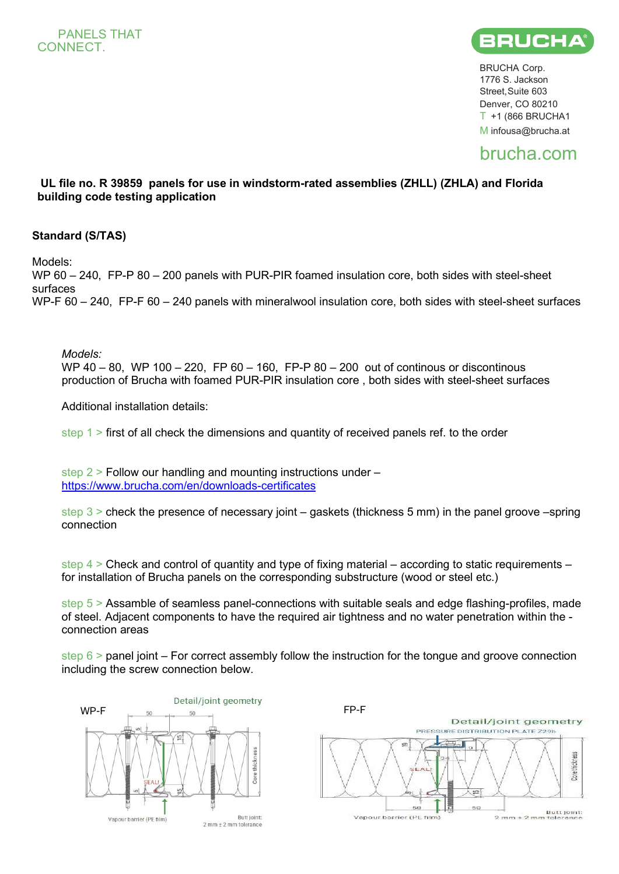

BRUCHA Corp. 1776 S. Jackson Street, Suite 603 Denver, CO 80210  $T + 1$  (866 BRUCHA1 M [infousa@brucha.at](mailto:infousa@brucha.at)

## brucha.com

## **UL file no. R 39859 panels for use in windstorm-rated assemblies (ZHLL) (ZHLA) and Florida building code testing application**

## **Standard (S/TAS)**

Models:

WP 60 – 240, FP-P 80 – 200 panels with PUR-PIR foamed insulation core, both sides with steel-sheet surfaces WP-F 60 – 240, FP-F 60 – 240 panels with mineralwool insulation core, both sides with steel-sheet surfaces

*Models:* 

WP 40 – 80, WP 100 – 220, FP 60 – 160, FP-P 80 – 200 out of continous or discontinous production of Brucha with foamed PUR-PIR insulation core , both sides with steel-sheet surfaces

Additional installation details:

step 1 > first of all check the dimensions and quantity of received panels ref. to the order

step 2 > Follow our handling and mounting instructions under – <https://www.brucha.com/en/downloads-certificates>

step 3 > check the presence of necessary joint – gaskets (thickness 5 mm) in the panel groove –spring connection

step  $4 >$  Check and control of quantity and type of fixing material – according to static requirements – for installation of Brucha panels on the corresponding substructure (wood or steel etc.)

step 5 > Assamble of seamless panel-connections with suitable seals and edge flashing-profiles, made of steel. Adjacent components to have the required air tightness and no water penetration within the connection areas

step  $6 >$  panel joint – For correct assembly follow the instruction for the tongue and groove connection including the screw connection below.